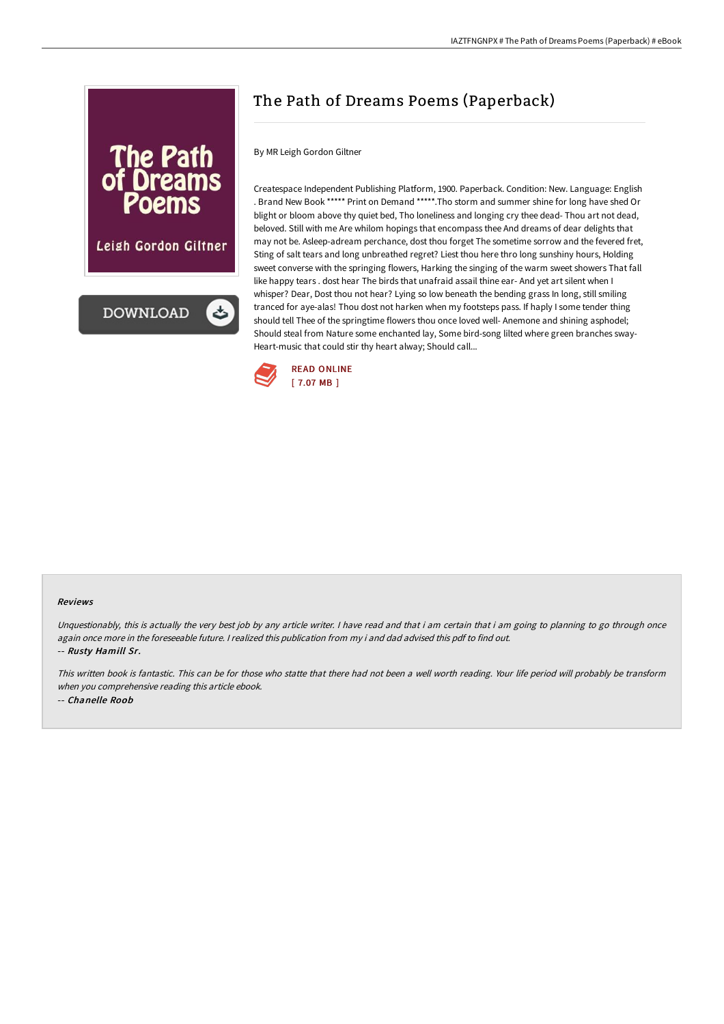

Leigh Gordon Giltner



# The Path of Dreams Poems (Paperback)

By MR Leigh Gordon Giltner

Createspace Independent Publishing Platform, 1900. Paperback. Condition: New. Language: English . Brand New Book \*\*\*\*\* Print on Demand \*\*\*\*\*.Tho storm and summer shine for long have shed Or blight or bloom above thy quiet bed, Tho loneliness and longing cry thee dead- Thou art not dead, beloved. Still with me Are whilom hopings that encompass thee And dreams of dear delights that may not be. Asleep-adream perchance, dost thou forget The sometime sorrow and the fevered fret, Sting of salt tears and long unbreathed regret? Liest thou here thro long sunshiny hours, Holding sweet converse with the springing flowers, Harking the singing of the warm sweet showers That fall like happy tears . dost hear The birds that unafraid assail thine ear- And yet art silent when I whisper? Dear, Dost thou not hear? Lying so low beneath the bending grass In long, still smiling tranced for aye-alas! Thou dost not harken when my footsteps pass. If haply I some tender thing should tell Thee of the springtime flowers thou once loved well- Anemone and shining asphodel; Should steal from Nature some enchanted lay, Some bird-song lilted where green branches sway-Heart-music that could stir thy heart alway; Should call...



#### Reviews

Unquestionably, this is actually the very best job by any article writer. I have read and that i am certain that i am going to planning to go through once again once more in the foreseeable future. <sup>I</sup> realized this publication from my i and dad advised this pdf to find out. -- Rusty Hamill Sr.

This written book is fantastic. This can be for those who statte that there had not been <sup>a</sup> well worth reading. Your life period will probably be transform when you comprehensive reading this article ebook. -- Chanelle Roob